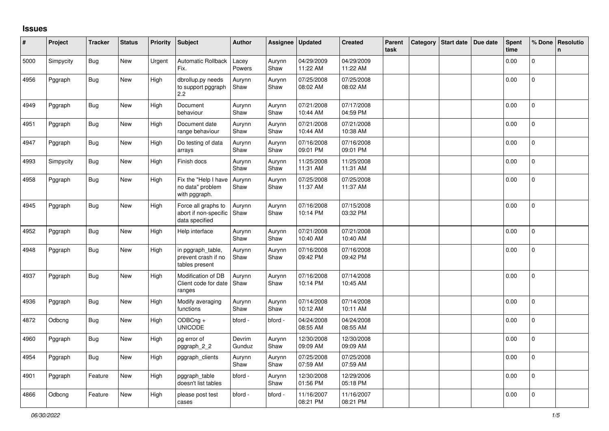## **Issues**

| #    | Project   | <b>Tracker</b> | <b>Status</b> | <b>Priority</b> | <b>Subject</b>                                                 | <b>Author</b>    | Assignee       | <b>Updated</b>         | <b>Created</b>         | Parent<br>task | Category | <b>Start date</b> | Due date | Spent<br>time | % Done       | Resolutio<br>$\mathsf{n}$ |
|------|-----------|----------------|---------------|-----------------|----------------------------------------------------------------|------------------|----------------|------------------------|------------------------|----------------|----------|-------------------|----------|---------------|--------------|---------------------------|
| 5000 | Simpycity | <b>Bug</b>     | New           | Urgent          | <b>Automatic Rollback</b><br>Fix.                              | Lacey<br>Powers  | Aurynn<br>Shaw | 04/29/2009<br>11:22 AM | 04/29/2009<br>11:22 AM |                |          |                   |          | 0.00          | $\mathbf{0}$ |                           |
| 4956 | Pggraph   | <b>Bug</b>     | New           | High            | dbrollup.py needs<br>to support pggraph<br>2.2                 | Aurynn<br>Shaw   | Aurynn<br>Shaw | 07/25/2008<br>08:02 AM | 07/25/2008<br>08:02 AM |                |          |                   |          | 0.00          | $\mathbf 0$  |                           |
| 4949 | Pggraph   | <b>Bug</b>     | <b>New</b>    | High            | Document<br>behaviour                                          | Aurynn<br>Shaw   | Aurynn<br>Shaw | 07/21/2008<br>10:44 AM | 07/17/2008<br>04:59 PM |                |          |                   |          | 0.00          | $\mathbf{0}$ |                           |
| 4951 | Pggraph   | <b>Bug</b>     | New           | High            | Document date<br>range behaviour                               | Aurynn<br>Shaw   | Aurynn<br>Shaw | 07/21/2008<br>10:44 AM | 07/21/2008<br>10:38 AM |                |          |                   |          | 0.00          | $\mathbf 0$  |                           |
| 4947 | Pggraph   | <b>Bug</b>     | <b>New</b>    | High            | Do testing of data<br>arrays                                   | Aurynn<br>Shaw   | Aurynn<br>Shaw | 07/16/2008<br>09:01 PM | 07/16/2008<br>09:01 PM |                |          |                   |          | 0.00          | $\mathbf 0$  |                           |
| 4993 | Simpycity | Bug            | <b>New</b>    | High            | Finish docs                                                    | Aurynn<br>Shaw   | Aurynn<br>Shaw | 11/25/2008<br>11:31 AM | 11/25/2008<br>11:31 AM |                |          |                   |          | 0.00          | $\Omega$     |                           |
| 4958 | Pggraph   | <b>Bug</b>     | New           | High            | Fix the "Help I have<br>no data" problem<br>with pggraph.      | Aurynn<br>Shaw   | Aurynn<br>Shaw | 07/25/2008<br>11:37 AM | 07/25/2008<br>11:37 AM |                |          |                   |          | 0.00          | $\mathbf{0}$ |                           |
| 4945 | Pggraph   | <b>Bug</b>     | New           | High            | Force all graphs to<br>abort if non-specific<br>data specified | Aurynn<br>Shaw   | Aurynn<br>Shaw | 07/16/2008<br>10:14 PM | 07/15/2008<br>03:32 PM |                |          |                   |          | 0.00          | $\Omega$     |                           |
| 4952 | Pggraph   | <b>Bug</b>     | New           | High            | Help interface                                                 | Aurynn<br>Shaw   | Aurynn<br>Shaw | 07/21/2008<br>10:40 AM | 07/21/2008<br>10:40 AM |                |          |                   |          | 0.00          | $\mathbf 0$  |                           |
| 4948 | Pggraph   | <b>Bug</b>     | <b>New</b>    | High            | in pggraph table,<br>prevent crash if no<br>tables present     | Aurynn<br>Shaw   | Aurynn<br>Shaw | 07/16/2008<br>09:42 PM | 07/16/2008<br>09:42 PM |                |          |                   |          | 0.00          | $\mathbf{0}$ |                           |
| 4937 | Pggraph   | <b>Bug</b>     | New           | High            | Modification of DB<br>Client code for date<br>ranges           | Aurynn<br>Shaw   | Aurynn<br>Shaw | 07/16/2008<br>10:14 PM | 07/14/2008<br>10:45 AM |                |          |                   |          | 0.00          | 0            |                           |
| 4936 | Pggraph   | <b>Bug</b>     | <b>New</b>    | High            | Modify averaging<br>functions                                  | Aurynn<br>Shaw   | Aurynn<br>Shaw | 07/14/2008<br>10:12 AM | 07/14/2008<br>10:11 AM |                |          |                   |          | 0.00          | $\mathbf{0}$ |                           |
| 4872 | Odbcng    | <b>Bug</b>     | New           | High            | $ODBCng +$<br><b>UNICODE</b>                                   | bford -          | bford -        | 04/24/2008<br>08:55 AM | 04/24/2008<br>08:55 AM |                |          |                   |          | 0.00          | 0            |                           |
| 4960 | Pggraph   | <b>Bug</b>     | New           | High            | pg error of<br>pggraph 2 2                                     | Devrim<br>Gunduz | Aurynn<br>Shaw | 12/30/2008<br>09:09 AM | 12/30/2008<br>09:09 AM |                |          |                   |          | 0.00          | $\mathbf 0$  |                           |
| 4954 | Pggraph   | <b>Bug</b>     | <b>New</b>    | High            | pggraph clients                                                | Aurynn<br>Shaw   | Aurynn<br>Shaw | 07/25/2008<br>07:59 AM | 07/25/2008<br>07:59 AM |                |          |                   |          | 0.00          | $\mathbf{0}$ |                           |
| 4901 | Pggraph   | Feature        | New           | High            | pggraph_table<br>doesn't list tables                           | bford -          | Aurynn<br>Shaw | 12/30/2008<br>01:56 PM | 12/29/2006<br>05:18 PM |                |          |                   |          | 0.00          | $\mathbf{0}$ |                           |
| 4866 | Odbcng    | Feature        | New           | High            | please post test<br>cases                                      | bford -          | bford -        | 11/16/2007<br>08:21 PM | 11/16/2007<br>08:21 PM |                |          |                   |          | 0.00          | $\mathbf 0$  |                           |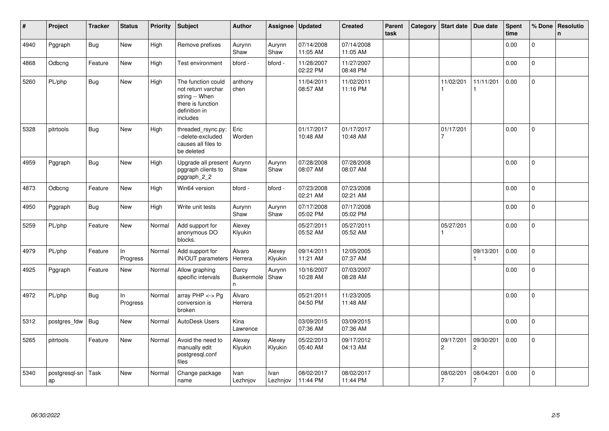| #    | Project             | <b>Tracker</b> | <b>Status</b>   | <b>Priority</b> | Subject                                                                                                      | <b>Author</b>                   | Assignee          | <b>Updated</b>         | <b>Created</b>         | Parent<br>task | Category | <b>Start date</b>           | Due date                    | Spent<br>time | % Done         | Resolutio<br>$\mathsf{n}$ |
|------|---------------------|----------------|-----------------|-----------------|--------------------------------------------------------------------------------------------------------------|---------------------------------|-------------------|------------------------|------------------------|----------------|----------|-----------------------------|-----------------------------|---------------|----------------|---------------------------|
| 4940 | Pggraph             | <b>Bug</b>     | New             | High            | Remove prefixes                                                                                              | Aurynn<br>Shaw                  | Aurynn<br>Shaw    | 07/14/2008<br>11:05 AM | 07/14/2008<br>11:05 AM |                |          |                             |                             | 0.00          | 0              |                           |
| 4868 | Odbcng              | Feature        | New             | High            | Test environment                                                                                             | bford -                         | bford -           | 11/28/2007<br>02:22 PM | 11/27/2007<br>08:48 PM |                |          |                             |                             | 0.00          | $\mathbf 0$    |                           |
| 5260 | PL/php              | <b>Bug</b>     | <b>New</b>      | High            | The function could<br>not return varchar<br>string -- When<br>there is function<br>definition in<br>includes | anthony<br>chen                 |                   | 11/04/2011<br>08:57 AM | 11/02/2011<br>11:16 PM |                |          | 11/02/201                   | 11/11/201                   | 0.00          | $\mathsf{O}$   |                           |
| 5328 | pitrtools           | <b>Bug</b>     | <b>New</b>      | High            | threaded_rsync.py:<br>--delete-excluded<br>causes all files to<br>be deleted                                 | Eric<br>Worden                  |                   | 01/17/2017<br>10:48 AM | 01/17/2017<br>10:48 AM |                |          | 01/17/201<br>$\overline{7}$ |                             | 0.00          | $\overline{0}$ |                           |
| 4959 | Pggraph             | <b>Bug</b>     | New             | High            | Upgrade all present<br>pggraph clients to<br>pggraph_2_2                                                     | Aurynn<br>Shaw                  | Aurynn<br>Shaw    | 07/28/2008<br>08:07 AM | 07/28/2008<br>08:07 AM |                |          |                             |                             | 0.00          | $\Omega$       |                           |
| 4873 | Odbcng              | Feature        | New             | High            | Win64 version                                                                                                | bford -                         | bford -           | 07/23/2008<br>02:21 AM | 07/23/2008<br>02:21 AM |                |          |                             |                             | 0.00          | $\overline{0}$ |                           |
| 4950 | Pggraph             | <b>Bug</b>     | New             | High            | Write unit tests                                                                                             | Aurynn<br>Shaw                  | Aurynn<br>Shaw    | 07/17/2008<br>05:02 PM | 07/17/2008<br>05:02 PM |                |          |                             |                             | 0.00          | $\Omega$       |                           |
| 5259 | PL/php              | Feature        | New             | Normal          | Add support for<br>anonymous DO<br>blocks.                                                                   | Alexey<br>Klyukin               |                   | 05/27/2011<br>05:52 AM | 05/27/2011<br>05:52 AM |                |          | 05/27/201                   |                             | 0.00          | 0              |                           |
| 4979 | PL/php              | Feature        | ln.<br>Progress | Normal          | Add support for<br>IN/OUT parameters                                                                         | Álvaro<br>Herrera               | Alexey<br>Klyukin | 09/14/2011<br>11:21 AM | 12/05/2005<br>07:37 AM |                |          |                             | 09/13/201                   | 0.00          | 0              |                           |
| 4925 | Pggraph             | Feature        | New             | Normal          | Allow graphing<br>specific intervals                                                                         | Darcy<br><b>Buskermole</b><br>n | Aurynn<br>Shaw    | 10/16/2007<br>10:28 AM | 07/03/2007<br>08:28 AM |                |          |                             |                             | 0.00          | $\overline{0}$ |                           |
| 4972 | PL/php              | <b>Bug</b>     | In<br>Progress  | Normal          | array $PHP \lt\gt P$ g<br>conversion is<br>broken                                                            | Álvaro<br>Herrera               |                   | 05/21/2011<br>04:50 PM | 11/23/2005<br>11:48 AM |                |          |                             |                             | 0.00          | $\Omega$       |                           |
| 5312 | postgres fdw        | <b>Bug</b>     | <b>New</b>      | Normal          | AutoDesk Users                                                                                               | Kina<br>Lawrence                |                   | 03/09/2015<br>07:36 AM | 03/09/2015<br>07:36 AM |                |          |                             |                             | 0.00          | $\overline{0}$ |                           |
| 5265 | pitrtools           | Feature        | New             | Normal          | Avoid the need to<br>manually edit<br>postgresql.conf<br>files                                               | Alexey<br>Klyukin               | Alexey<br>Klyukin | 05/22/2013<br>05:40 AM | 09/17/2012<br>04:13 AM |                |          | 09/17/201<br>$\overline{c}$ | 09/30/201<br>$\overline{c}$ | 0.00          | $\overline{0}$ |                           |
| 5340 | postgresql-sn<br>ap | Task           | <b>New</b>      | Normal          | Change package<br>name                                                                                       | Ivan<br>Lezhnjov                | Ivan<br>Lezhnjov  | 08/02/2017<br>11:44 PM | 08/02/2017<br>11:44 PM |                |          | 08/02/201                   | 08/04/201<br>7              | 0.00          | $\overline{0}$ |                           |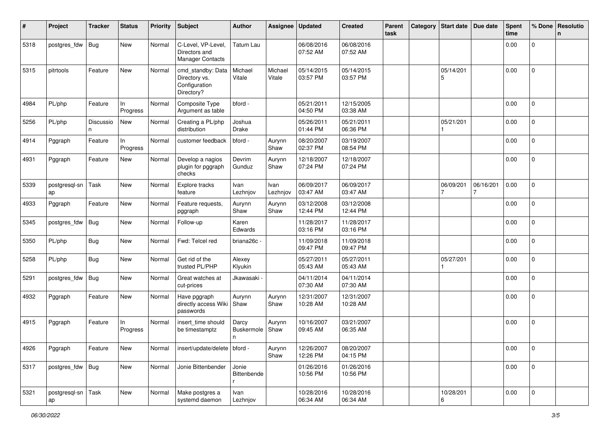| #    | Project                    | <b>Tracker</b> | <b>Status</b>   | <b>Priority</b> | Subject                                                           | <b>Author</b>                        | Assignee          | <b>Updated</b>         | <b>Created</b>         | Parent<br>task | Category | Start date Due date |                | <b>Spent</b><br>time | % Done              | Resolutio<br>$\mathsf{n}$ |
|------|----------------------------|----------------|-----------------|-----------------|-------------------------------------------------------------------|--------------------------------------|-------------------|------------------------|------------------------|----------------|----------|---------------------|----------------|----------------------|---------------------|---------------------------|
| 5318 | postgres_fdw               | <b>Bug</b>     | New             | Normal          | C-Level, VP-Level,<br>Directors and<br>Manager Contacts           | Tatum Lau                            |                   | 06/08/2016<br>07:52 AM | 06/08/2016<br>07:52 AM |                |          |                     |                | 0.00                 | 0                   |                           |
| 5315 | pitrtools                  | Feature        | New             | Normal          | cmd_standby: Data<br>Directory vs.<br>Configuration<br>Directory? | Michael<br>Vitale                    | Michael<br>Vitale | 05/14/2015<br>03:57 PM | 05/14/2015<br>03:57 PM |                |          | 05/14/201<br>5      |                | 0.00                 | $\mathbf{0}$        |                           |
| 4984 | PL/php                     | Feature        | In<br>Progress  | Normal          | Composite Type<br>Argument as table                               | bford -                              |                   | 05/21/2011<br>04:50 PM | 12/15/2005<br>03:38 AM |                |          |                     |                | 0.00                 | $\overline{0}$      |                           |
| 5256 | PL/php                     | Discussio<br>n | New             | Normal          | Creating a PL/php<br>distribution                                 | Joshua<br>Drake                      |                   | 05/26/2011<br>01:44 PM | 05/21/2011<br>06:36 PM |                |          | 05/21/201           |                | 0.00                 | $\mathbf 0$         |                           |
| 4914 | Pggraph                    | Feature        | In.<br>Progress | Normal          | customer feedback                                                 | bford -                              | Aurynn<br>Shaw    | 08/20/2007<br>02:37 PM | 03/19/2007<br>08:54 PM |                |          |                     |                | 0.00                 | $\mathbf{0}$        |                           |
| 4931 | Pggraph                    | Feature        | New             | Normal          | Develop a nagios<br>plugin for pggraph<br>checks                  | Devrim<br>Gunduz                     | Aurynn<br>Shaw    | 12/18/2007<br>07:24 PM | 12/18/2007<br>07:24 PM |                |          |                     |                | 0.00                 | 0                   |                           |
| 5339 | postgresql-sn<br>ap        | Task           | New             | Normal          | Explore tracks<br>feature                                         | Ivan<br>Lezhnjov                     | Ivan<br>Lezhnjov  | 06/09/2017<br>03:47 AM | 06/09/2017<br>03:47 AM |                |          | 06/09/201<br>7      | 06/16/201<br>7 | 0.00                 | $\overline{0}$      |                           |
| 4933 | Pggraph                    | Feature        | New             | Normal          | Feature requests,<br>pggraph                                      | Aurynn<br>Shaw                       | Aurynn<br>Shaw    | 03/12/2008<br>12:44 PM | 03/12/2008<br>12:44 PM |                |          |                     |                | 0.00                 | 0                   |                           |
| 5345 | postgres_fdw               | <b>Bug</b>     | New             | Normal          | Follow-up                                                         | Karen<br>Edwards                     |                   | 11/28/2017<br>03:16 PM | 11/28/2017<br>03:16 PM |                |          |                     |                | 0.00                 | $\mathbf 0$         |                           |
| 5350 | PL/php                     | <b>Bug</b>     | New             | Normal          | Fwd: Telcel red                                                   | briana26c -                          |                   | 11/09/2018<br>09:47 PM | 11/09/2018<br>09:47 PM |                |          |                     |                | 0.00                 | $\mathbf 0$         |                           |
| 5258 | PL/php                     | <b>Bug</b>     | New             | Normal          | Get rid of the<br>trusted PL/PHP                                  | Alexey<br>Klyukin                    |                   | 05/27/2011<br>05:43 AM | 05/27/2011<br>05:43 AM |                |          | 05/27/201           |                | 0.00                 | $\overline{0}$      |                           |
| 5291 | postgres_fdw               | <b>Bug</b>     | New             | Normal          | Great watches at<br>cut-prices                                    | Jkawasaki -                          |                   | 04/11/2014<br>07:30 AM | 04/11/2014<br>07:30 AM |                |          |                     |                | 0.00                 | $\mathbf 0$         |                           |
| 4932 | Pggraph                    | Feature        | New             | Normal          | Have pggraph<br>directly access Wiki Shaw<br>passwords            | Aurynn                               | Aurynn<br>Shaw    | 12/31/2007<br>10:28 AM | 12/31/2007<br>10:28 AM |                |          |                     |                | 0.00                 | 0                   |                           |
| 4915 | Pggraph                    | Feature        | In<br>Progress  | Normal          | insert_time should<br>be timestamptz                              | Darcy<br><b>Buskermole</b><br>n      | Aurynn<br>Shaw    | 10/16/2007<br>09:45 AM | 03/21/2007<br>06:35 AM |                |          |                     |                | 0.00                 | 0                   |                           |
| 4926 | Pggraph                    | Feature        | New             | Normal          | insert/update/delete   bford -                                    |                                      | Aurynn<br>Shaw    | 12/26/2007<br>12:26 PM | 08/20/2007<br>04:15 PM |                |          |                     |                | 0.00                 | 0                   |                           |
| 5317 | postgres_fdw               | Bug            | New             | Normal          | Jonie Bittenbender                                                | Jonie<br>Bittenbende<br>$\mathsf{r}$ |                   | 01/26/2016<br>10:56 PM | 01/26/2016<br>10:56 PM |                |          |                     |                | 0.00                 | $\mathbf{0}$        |                           |
| 5321 | postgresql-sn   Task<br>ap |                | New             | Normal          | Make postgres a<br>systemd daemon                                 | Ivan<br>Lezhnjov                     |                   | 10/28/2016<br>06:34 AM | 10/28/2016<br>06:34 AM |                |          | 10/28/201<br>6      |                | 0.00                 | $\mathsf{O}\xspace$ |                           |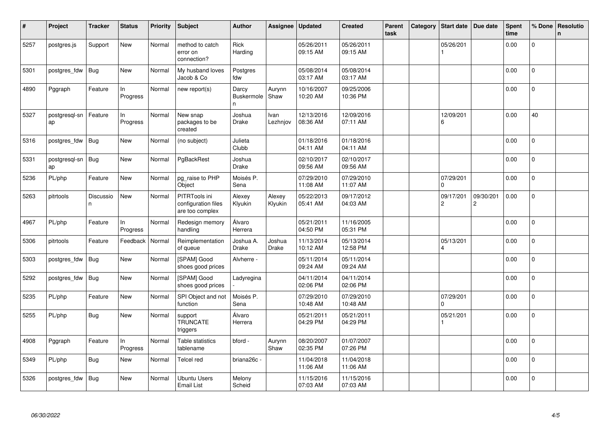| $\vert$ # | Project             | <b>Tracker</b>  | <b>Status</b>  | <b>Priority</b> | <b>Subject</b>                                          | <b>Author</b>            | Assignee               | <b>Updated</b>         | <b>Created</b>         | Parent<br>task | Category | Start date                  | Due date                    | Spent<br>time | % Done       | Resolutio<br>n |
|-----------|---------------------|-----------------|----------------|-----------------|---------------------------------------------------------|--------------------------|------------------------|------------------------|------------------------|----------------|----------|-----------------------------|-----------------------------|---------------|--------------|----------------|
| 5257      | postgres.js         | Support         | New            | Normal          | method to catch<br>error on<br>connection?              | Rick<br>Harding          |                        | 05/26/2011<br>09:15 AM | 05/26/2011<br>09:15 AM |                |          | 05/26/201                   |                             | 0.00          | 0            |                |
| 5301      | postgres_fdw        | <b>Bug</b>      | <b>New</b>     | Normal          | My husband loves<br>Jacob & Co                          | Postgres<br>fdw          |                        | 05/08/2014<br>03:17 AM | 05/08/2014<br>03:17 AM |                |          |                             |                             | 0.00          | $\mathbf{0}$ |                |
| 4890      | Pggraph             | Feature         | In<br>Progress | Normal          | new report(s)                                           | Darcy<br>Buskermole<br>n | Aurynn<br>Shaw         | 10/16/2007<br>10:20 AM | 09/25/2006<br>10:36 PM |                |          |                             |                             | 0.00          | $\mathbf{0}$ |                |
| 5327      | postgresgl-sn<br>ap | Feature         | In<br>Progress | Normal          | New snap<br>packages to be<br>created                   | Joshua<br>Drake          | Ivan<br>Lezhnjov       | 12/13/2016<br>08:36 AM | 12/09/2016<br>07:11 AM |                |          | 12/09/201<br>6              |                             | 0.00          | 40           |                |
| 5316      | postgres fdw        | Bug             | New            | Normal          | (no subject)                                            | Julieta<br>Clubb         |                        | 01/18/2016<br>04:11 AM | 01/18/2016<br>04:11 AM |                |          |                             |                             | 0.00          | 0            |                |
| 5331      | postgresgl-sn<br>ap | Bug             | New            | Normal          | PgBackRest                                              | Joshua<br>Drake          |                        | 02/10/2017<br>09:56 AM | 02/10/2017<br>09:56 AM |                |          |                             |                             | 0.00          | 0            |                |
| 5236      | PL/php              | Feature         | New            | Normal          | pg_raise to PHP<br>Object                               | Moisés P.<br>Sena        |                        | 07/29/2010<br>11:08 AM | 07/29/2010<br>11:07 AM |                |          | 07/29/201<br>$\Omega$       |                             | 0.00          | $\mathbf 0$  |                |
| 5263      | pitrtools           | Discussio<br>n. | New            | Normal          | PITRTools ini<br>configuration files<br>are too complex | Alexey<br>Klyukin        | Alexey<br>Klyukin      | 05/22/2013<br>05:41 AM | 09/17/2012<br>04:03 AM |                |          | 09/17/201<br>$\overline{2}$ | 09/30/201<br>$\overline{2}$ | 0.00          | 0            |                |
| 4967      | PL/php              | Feature         | In<br>Progress | Normal          | Redesign memory<br>handling                             | Álvaro<br>Herrera        |                        | 05/21/2011<br>04:50 PM | 11/16/2005<br>05:31 PM |                |          |                             |                             | 0.00          | $\mathsf{O}$ |                |
| 5306      | pitrtools           | Feature         | Feedback       | Normal          | Reimplementation<br>of queue                            | Joshua A.<br>Drake       | Joshua<br><b>Drake</b> | 11/13/2014<br>10:12 AM | 05/13/2014<br>12:58 PM |                |          | 05/13/201<br>$\overline{4}$ |                             | 0.00          | $\mathbf{0}$ |                |
| 5303      | postgres fdw        | Bug             | New            | Normal          | [SPAM] Good<br>shoes good prices                        | Alvherre -               |                        | 05/11/2014<br>09:24 AM | 05/11/2014<br>09:24 AM |                |          |                             |                             | 0.00          | $\pmb{0}$    |                |
| 5292      | postgres_fdw        | <b>Bug</b>      | New            | Normal          | [SPAM] Good<br>shoes good prices                        | Ladyregina               |                        | 04/11/2014<br>02:06 PM | 04/11/2014<br>02:06 PM |                |          |                             |                             | 0.00          | $\Omega$     |                |
| 5235      | PL/php              | Feature         | New            | Normal          | SPI Object and not<br>function                          | Moisés P.<br>Sena        |                        | 07/29/2010<br>10:48 AM | 07/29/2010<br>10:48 AM |                |          | 07/29/201<br>0              |                             | 0.00          | $\mathbf{0}$ |                |
| 5255      | PL/php              | <b>Bug</b>      | New            | Normal          | support<br><b>TRUNCATE</b><br>triggers                  | Álvaro<br>Herrera        |                        | 05/21/2011<br>04:29 PM | 05/21/2011<br>04:29 PM |                |          | 05/21/201                   |                             | 0.00          | $\mathbf{0}$ |                |
| 4908      | Pggraph             | Feature         | In<br>Progress | Normal          | Table statistics<br>tablename                           | bford -                  | Aurynn<br>Shaw         | 08/20/2007<br>02:35 PM | 01/07/2007<br>07:26 PM |                |          |                             |                             | 0.00          | $\mathbf 0$  |                |
| 5349      | PL/php              | Bug             | New            | Normal          | Telcel red                                              | briana26c -              |                        | 11/04/2018<br>11:06 AM | 11/04/2018<br>11:06 AM |                |          |                             |                             | 0.00          | 0            |                |
| 5326      | postgres fdw        | Bug             | <b>New</b>     | Normal          | Ubuntu Users<br>Email List                              | Melony<br>Scheid         |                        | 11/15/2016<br>07:03 AM | 11/15/2016<br>07:03 AM |                |          |                             |                             | 0.00          | 0            |                |